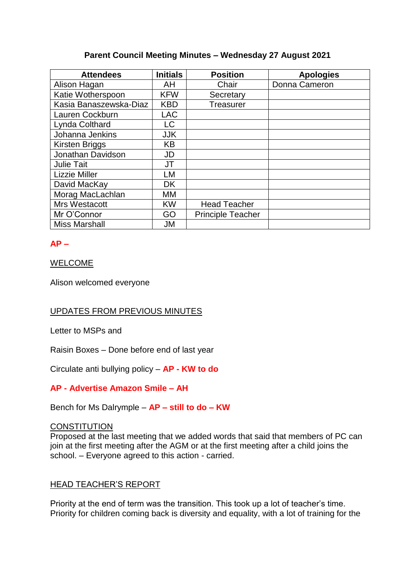# **Parent Council Meeting Minutes – Wednesday 27 August 2021**

| <b>Attendees</b>       | <b>Initials</b> | <b>Position</b>          | <b>Apologies</b> |
|------------------------|-----------------|--------------------------|------------------|
| Alison Hagan           | AH              | Chair                    | Donna Cameron    |
| Katie Wotherspoon      | <b>KFW</b>      | Secretary                |                  |
| Kasia Banaszewska-Diaz | <b>KBD</b>      | <b>Treasurer</b>         |                  |
| Lauren Cockburn        | <b>LAC</b>      |                          |                  |
| Lynda Colthard         | LC              |                          |                  |
| Johanna Jenkins        | <b>JJK</b>      |                          |                  |
| <b>Kirsten Briggs</b>  | <b>KB</b>       |                          |                  |
| Jonathan Davidson      | JD              |                          |                  |
| <b>Julie Tait</b>      | JT              |                          |                  |
| <b>Lizzie Miller</b>   | LM              |                          |                  |
| David MacKay           | <b>DK</b>       |                          |                  |
| Morag MacLachlan       | МM              |                          |                  |
| Mrs Westacott          | <b>KW</b>       | <b>Head Teacher</b>      |                  |
| Mr O'Connor            | GO              | <b>Principle Teacher</b> |                  |
| <b>Miss Marshall</b>   | JM              |                          |                  |

# **AP –**

WELCOME

Alison welcomed everyone

# UPDATES FROM PREVIOUS MINUTES

Letter to MSPs and

Raisin Boxes – Done before end of last year

Circulate anti bullying policy – **AP - KW to do**

**AP - Advertise Amazon Smile – AH**

Bench for Ms Dalrymple – **AP – still to do – KW**

# **CONSTITUTION**

Proposed at the last meeting that we added words that said that members of PC can join at the first meeting after the AGM or at the first meeting after a child joins the school. – Everyone agreed to this action - carried.

## HEAD TEACHER'S REPORT

Priority at the end of term was the transition. This took up a lot of teacher's time. Priority for children coming back is diversity and equality, with a lot of training for the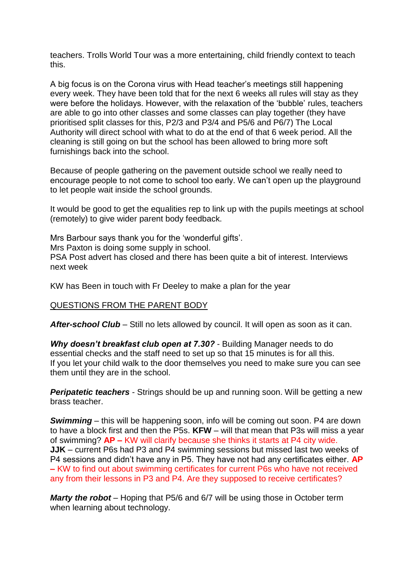teachers. Trolls World Tour was a more entertaining, child friendly context to teach this.

A big focus is on the Corona virus with Head teacher's meetings still happening every week. They have been told that for the next 6 weeks all rules will stay as they were before the holidays. However, with the relaxation of the 'bubble' rules, teachers are able to go into other classes and some classes can play together (they have prioritised split classes for this, P2/3 and P3/4 and P5/6 and P6/7) The Local Authority will direct school with what to do at the end of that 6 week period. All the cleaning is still going on but the school has been allowed to bring more soft furnishings back into the school.

Because of people gathering on the pavement outside school we really need to encourage people to not come to school too early. We can't open up the playground to let people wait inside the school grounds.

It would be good to get the equalities rep to link up with the pupils meetings at school (remotely) to give wider parent body feedback.

Mrs Barbour says thank you for the 'wonderful gifts'. Mrs Paxton is doing some supply in school. PSA Post advert has closed and there has been quite a bit of interest. Interviews next week

KW has Been in touch with Fr Deeley to make a plan for the year

## QUESTIONS FROM THE PARENT BODY

After-school Club – Still no lets allowed by council. It will open as soon as it can.

*Why doesn't breakfast club open at 7.30?* - Building Manager needs to do essential checks and the staff need to set up so that 15 minutes is for all this. If you let your child walk to the door themselves you need to make sure you can see them until they are in the school.

**Peripatetic teachers** - Strings should be up and running soon. Will be getting a new brass teacher.

*Swimming* – this will be happening soon, info will be coming out soon. P4 are down to have a block first and then the P5s. **KFW** – will that mean that P3s will miss a year of swimming? **AP –** KW will clarify because she thinks it starts at P4 city wide. **JJK** – current P6s had P3 and P4 swimming sessions but missed last two weeks of P4 sessions and didn't have any in P5. They have not had any certificates either. **AP –** KW to find out about swimming certificates for current P6s who have not received any from their lessons in P3 and P4. Are they supposed to receive certificates?

*Marty the robot* – Hoping that P5/6 and 6/7 will be using those in October term when learning about technology.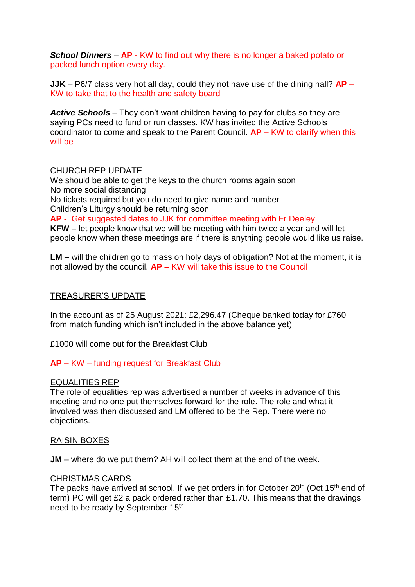*School Dinners* – **AP -** KW to find out why there is no longer a baked potato or packed lunch option every day.

**JJK** – P6/7 class very hot all day, could they not have use of the dining hall? **AP –** KW to take that to the health and safety board

*Active Schools* – They don't want children having to pay for clubs so they are saying PCs need to fund or run classes. KW has invited the Active Schools coordinator to come and speak to the Parent Council. **AP –** KW to clarify when this will be

### CHURCH REP UPDATE

We should be able to get the keys to the church rooms again soon No more social distancing No tickets required but you do need to give name and number Children's Liturgy should be returning soon **AP -** Get suggested dates to JJK for committee meeting with Fr Deeley **KFW** – let people know that we will be meeting with him twice a year and will let people know when these meetings are if there is anything people would like us raise.

**LM –** will the children go to mass on holy days of obligation? Not at the moment, it is not allowed by the council. **AP –** KW will take this issue to the Council

## TREASURER'S UPDATE

In the account as of 25 August 2021: £2,296.47 (Cheque banked today for £760 from match funding which isn't included in the above balance yet)

£1000 will come out for the Breakfast Club

## **AP –** KW – funding request for Breakfast Club

#### EQUALITIES REP

The role of equalities rep was advertised a number of weeks in advance of this meeting and no one put themselves forward for the role. The role and what it involved was then discussed and LM offered to be the Rep. There were no objections.

#### RAISIN BOXES

**JM** – where do we put them? AH will collect them at the end of the week.

#### CHRISTMAS CARDS

The packs have arrived at school. If we get orders in for October 20<sup>th</sup> (Oct 15<sup>th</sup> end of term) PC will get £2 a pack ordered rather than £1.70. This means that the drawings need to be ready by September 15<sup>th</sup>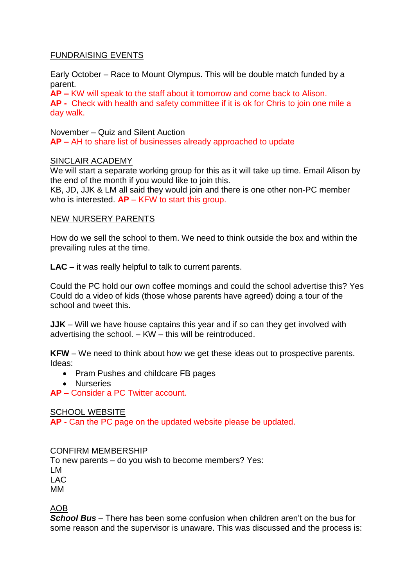# FUNDRAISING EVENTS

Early October – Race to Mount Olympus. This will be double match funded by a parent.

**AP –** KW will speak to the staff about it tomorrow and come back to Alison. **AP -** Check with health and safety committee if it is ok for Chris to join one mile a day walk.

November – Quiz and Silent Auction

**AP –** AH to share list of businesses already approached to update

## SINCLAIR ACADEMY

We will start a separate working group for this as it will take up time. Email Alison by the end of the month if you would like to join this.

KB, JD, JJK & LM all said they would join and there is one other non-PC member who is interested. **AP** – KFW to start this group.

### NEW NURSERY PARENTS

How do we sell the school to them. We need to think outside the box and within the prevailing rules at the time.

**LAC** – it was really helpful to talk to current parents.

Could the PC hold our own coffee mornings and could the school advertise this? Yes Could do a video of kids (those whose parents have agreed) doing a tour of the school and tweet this.

**JJK** – Will we have house captains this year and if so can they get involved with advertising the school. – KW – this will be reintroduced.

**KFW** – We need to think about how we get these ideas out to prospective parents. Ideas:

- Pram Pushes and childcare FB pages
- Nurseries

**AP –** Consider a PC Twitter account.

#### SCHOOL WEBSITE

**AP -** Can the PC page on the updated website please be updated.

#### CONFIRM MEMBERSHIP

To new parents – do you wish to become members? Yes: LM LAC MM

AOB

*School Bus* – There has been some confusion when children aren't on the bus for some reason and the supervisor is unaware. This was discussed and the process is: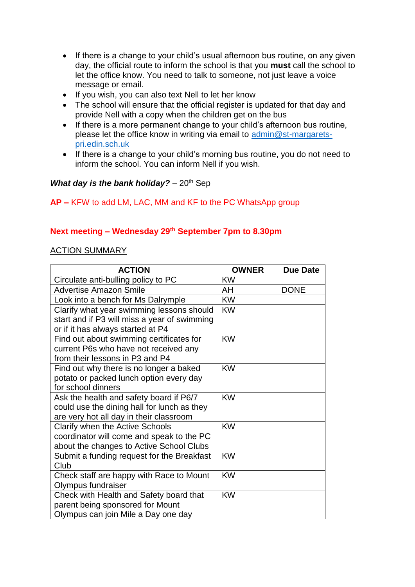- If there is a change to your child's usual afternoon bus routine, on any given day, the official route to inform the school is that you **must** call the school to let the office know. You need to talk to someone, not just leave a voice message or email.
- If you wish, you can also text Nell to let her know
- The school will ensure that the official register is updated for that day and provide Nell with a copy when the children get on the bus
- If there is a more permanent change to your child's afternoon bus routine, please let the office know in writing via email to [admin@st-margarets](mailto:admin@st-margarets-pri.edin.sch.uk)[pri.edin.sch.uk](mailto:admin@st-margarets-pri.edin.sch.uk)
- If there is a change to your child's morning bus routine, you do not need to inform the school. You can inform Nell if you wish.

## *What day is the bank holiday?* – 20<sup>th</sup> Sep

## **AP –** KFW to add LM, LAC, MM and KF to the PC WhatsApp group

## **Next meeting – Wednesday 29 th September 7pm to 8.30pm**

### ACTION SUMMARY

| <b>ACTION</b>                                | <b>OWNER</b> | <b>Due Date</b> |
|----------------------------------------------|--------------|-----------------|
| Circulate anti-bulling policy to PC          | <b>KW</b>    |                 |
| <b>Advertise Amazon Smile</b>                | AH           | <b>DONE</b>     |
| Look into a bench for Ms Dalrymple           | <b>KW</b>    |                 |
| Clarify what year swimming lessons should    | <b>KW</b>    |                 |
| start and if P3 will miss a year of swimming |              |                 |
| or if it has always started at P4            |              |                 |
| Find out about swimming certificates for     | <b>KW</b>    |                 |
| current P6s who have not received any        |              |                 |
| from their lessons in P3 and P4              |              |                 |
| Find out why there is no longer a baked      | <b>KW</b>    |                 |
| potato or packed lunch option every day      |              |                 |
| for school dinners                           |              |                 |
| Ask the health and safety board if P6/7      | <b>KW</b>    |                 |
| could use the dining hall for lunch as they  |              |                 |
| are very hot all day in their classroom      |              |                 |
| Clarify when the Active Schools              | <b>KW</b>    |                 |
| coordinator will come and speak to the PC    |              |                 |
| about the changes to Active School Clubs     |              |                 |
| Submit a funding request for the Breakfast   | <b>KW</b>    |                 |
| Club                                         |              |                 |
| Check staff are happy with Race to Mount     | <b>KW</b>    |                 |
| Olympus fundraiser                           |              |                 |
| Check with Health and Safety board that      | <b>KW</b>    |                 |
| parent being sponsored for Mount             |              |                 |
| Olympus can join Mile a Day one day          |              |                 |